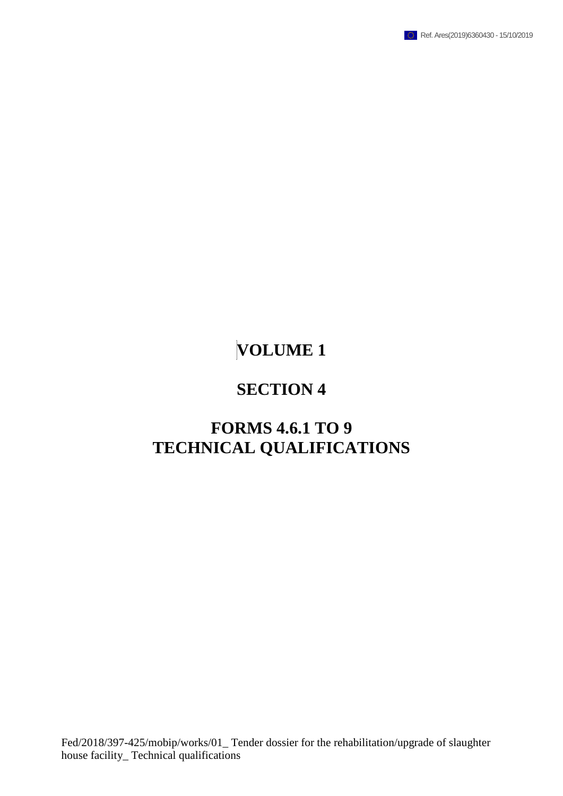

# **SECTION 4**

# **FORMS 4.6.1 TO 9 TECHNICAL QUALIFICATIONS**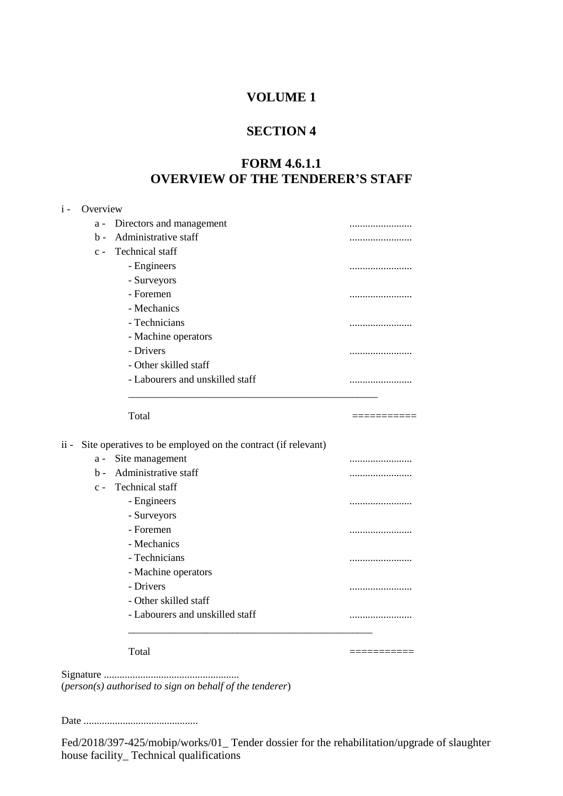#### **SECTION 4**

## **FORM 4.6.1.1 OVERVIEW OF THE TENDERER'S STAFF**

#### i - Overview

|      | $a -$ | Directors and management                                     | . |
|------|-------|--------------------------------------------------------------|---|
|      | $b$   | Administrative staff                                         |   |
|      | $c -$ | <b>Technical</b> staff                                       |   |
|      |       | - Engineers                                                  | . |
|      |       | - Surveyors                                                  |   |
|      |       | - Foremen                                                    |   |
|      |       | - Mechanics                                                  |   |
|      |       | - Technicians                                                | . |
|      |       | - Machine operators                                          |   |
|      |       | - Drivers                                                    | . |
|      |       | - Other skilled staff                                        |   |
|      |       | - Labourers and unskilled staff                              |   |
|      |       |                                                              |   |
|      |       | Total                                                        |   |
|      |       |                                                              |   |
| ii - |       | Site operatives to be employed on the contract (if relevant) |   |
|      | $a -$ | Site management                                              |   |
|      | $h -$ | Administrative staff                                         | . |
|      | $c -$ | <b>Technical</b> staff                                       | . |
|      |       | - Engineers                                                  |   |
|      |       | - Surveyors                                                  |   |
|      |       | - Foremen                                                    |   |
|      |       | - Mechanics                                                  |   |
|      |       | - Technicians                                                |   |
|      |       | - Machine operators                                          | . |
|      |       | - Drivers                                                    |   |
|      |       | - Other skilled staff                                        |   |
|      |       | - Labourers and unskilled staff                              |   |
|      |       |                                                              | . |
|      |       |                                                              |   |
|      |       | Total                                                        |   |
|      |       |                                                              |   |

Signature .................................................... (*person(s) authorised to sign on behalf of the tenderer*)

Date ............................................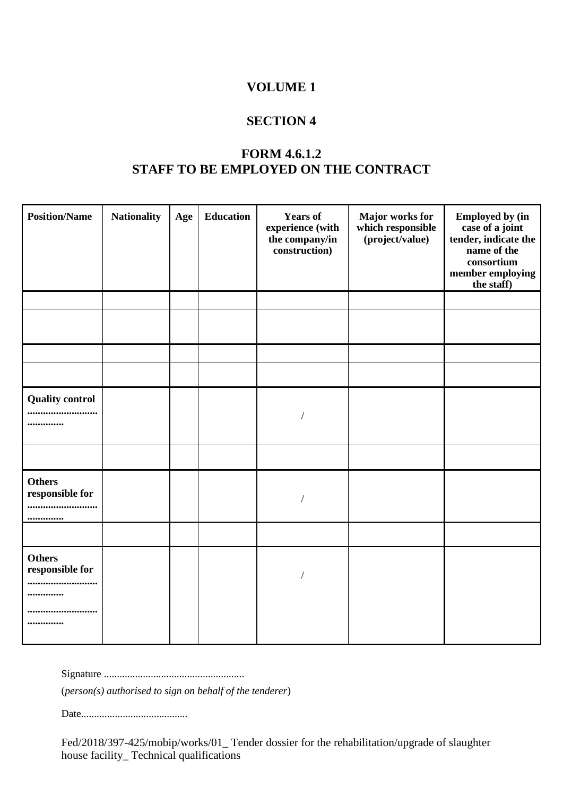#### **SECTION 4**

# **FORM 4.6.1.2 STAFF TO BE EMPLOYED ON THE CONTRACT**

| <b>Position/Name</b>                         | <b>Nationality</b> | Age | <b>Education</b> | <b>Years of</b><br>experience (with<br>the company/in<br>construction) | Major works for<br>which responsible<br>(project/value) | <b>Employed by (in</b><br>case of a joint<br>tender, indicate the<br>name of the<br>consortium<br>member employing<br>the staff) |
|----------------------------------------------|--------------------|-----|------------------|------------------------------------------------------------------------|---------------------------------------------------------|----------------------------------------------------------------------------------------------------------------------------------|
|                                              |                    |     |                  |                                                                        |                                                         |                                                                                                                                  |
|                                              |                    |     |                  |                                                                        |                                                         |                                                                                                                                  |
|                                              |                    |     |                  |                                                                        |                                                         |                                                                                                                                  |
|                                              |                    |     |                  |                                                                        |                                                         |                                                                                                                                  |
| <b>Quality control</b><br><br>               |                    |     |                  |                                                                        |                                                         |                                                                                                                                  |
|                                              |                    |     |                  |                                                                        |                                                         |                                                                                                                                  |
| <b>Others</b><br>responsible for<br><br>     |                    |     |                  |                                                                        |                                                         |                                                                                                                                  |
|                                              |                    |     |                  |                                                                        |                                                         |                                                                                                                                  |
| <b>Others</b><br>responsible for<br><br><br> |                    |     |                  |                                                                        |                                                         |                                                                                                                                  |

Signature ......................................................

(*person(s) authorised to sign on behalf of the tenderer*)

Date.........................................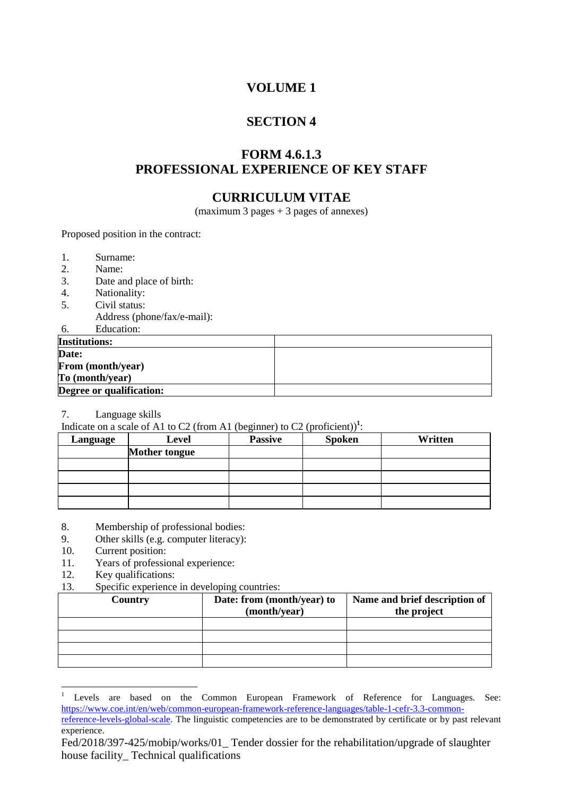# **SECTION 4**

## **FORM 4.6.1.3 PROFESSIONAL EXPERIENCE OF KEY STAFF**

#### **CURRICULUM VITAE**

(maximum 3 pages + 3 pages of annexes)

Proposed position in the contract:

- 1. Surname:<br>2 Name:
- 2. Name:<br>3. Date an
- Date and place of birth:
- 4. Nationality:
- 5. Civil status:
- Address (phone/fax/e-mail): 6. Education:

| U.<br>Luucation.         |  |
|--------------------------|--|
| <b>Institutions:</b>     |  |
| Date:                    |  |
| From (month/year)        |  |
| To (month/year)          |  |
| Degree or qualification: |  |

7. Language skills

Indicate on a scale of A1 to C2 (from A1 (beginner) to C2 (proficient)<sup>1</sup>:

| Language | Level                | <b>Passive</b> | <b>Spoken</b> | Written |
|----------|----------------------|----------------|---------------|---------|
|          | <b>Mother tongue</b> |                |               |         |
|          |                      |                |               |         |
|          |                      |                |               |         |
|          |                      |                |               |         |
|          |                      |                |               |         |

- 8. Membership of professional bodies:
- 9. Other skills (e.g. computer literacy):
- 10. Current position:
- 11. Years of professional experience:
- 12. Key qualifications:

 $\overline{a}$ 

13. Specific experience in developing countries:

| Country | Date: from (month/year) to<br>(month/year) | Name and brief description of<br>the project |
|---------|--------------------------------------------|----------------------------------------------|
|         |                                            |                                              |
|         |                                            |                                              |
|         |                                            |                                              |
|         |                                            |                                              |

<sup>1</sup> Levels are based on the Common European Framework of Reference for Languages. See: [https://www.coe.int/en/web/common-european-framework-reference-languages/table-1-cefr-3.3-common-](https://www.coe.int/en/web/common-european-framework-reference-languages/table-1-cefr-3.3-common-reference-levels-global-scale)

[reference-levels-global-scale.](https://www.coe.int/en/web/common-european-framework-reference-languages/table-1-cefr-3.3-common-reference-levels-global-scale) The linguistic competencies are to be demonstrated by certificate or by past relevant experience.

Fed/2018/397-425/mobip/works/01\_ Tender dossier for the rehabilitation/upgrade of slaughter house facility\_ Technical qualifications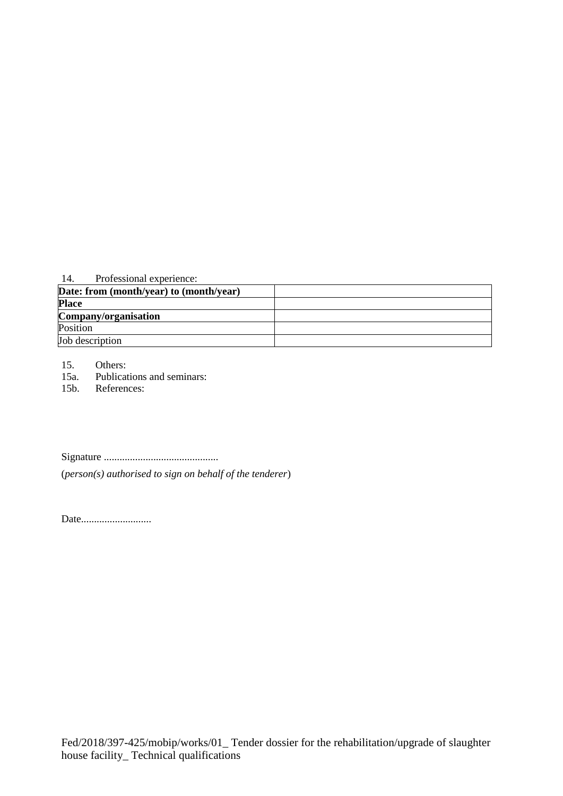#### 14. Professional experience:

| Date: from (month/year) to (month/year) |  |
|-----------------------------------------|--|
| <b>Place</b>                            |  |
| Company/organisation                    |  |
| Position                                |  |
| Job description                         |  |

15. Others:

15a. Publications and seminars:<br>15b. References:

References:

Signature ............................................

(*person(s) authorised to sign on behalf of the tenderer*)

Date...........................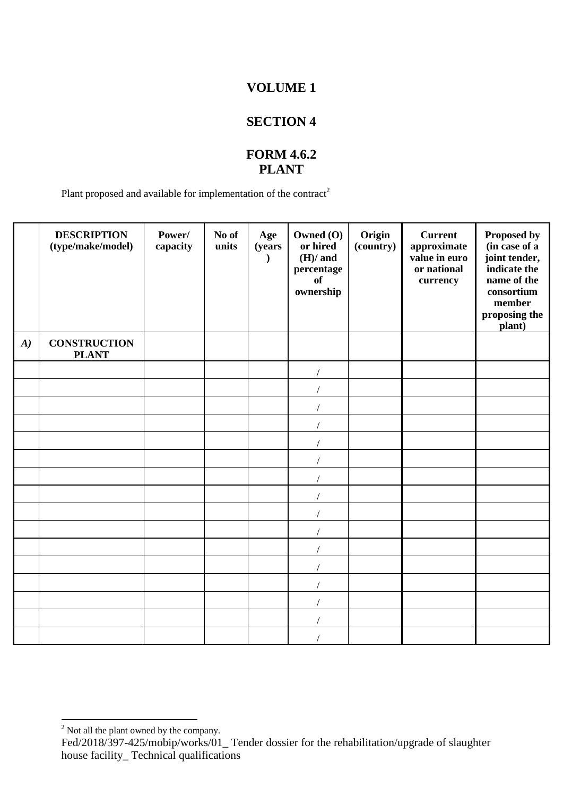# **SECTION 4**

# **FORM 4.6.2 PLANT**

Plant proposed and available for implementation of the contract<sup>2</sup>

|                  | <b>DESCRIPTION</b><br>(type/make/model) | Power/<br>capacity | No of<br>units | Age<br>(years) | Owned (O)<br>or hired<br>$(H)/$ and<br>percentage<br><b>of</b><br>ownership | Origin<br>(country) | <b>Current</b><br>approximate<br>value in euro<br>or national<br>currency | Proposed by<br>(in case of a<br>joint tender,<br>indicate the<br>name of the<br>consortium<br>member<br>proposing the<br>plant) |
|------------------|-----------------------------------------|--------------------|----------------|----------------|-----------------------------------------------------------------------------|---------------------|---------------------------------------------------------------------------|---------------------------------------------------------------------------------------------------------------------------------|
| $\boldsymbol{A}$ | <b>CONSTRUCTION</b><br><b>PLANT</b>     |                    |                |                |                                                                             |                     |                                                                           |                                                                                                                                 |
|                  |                                         |                    |                |                |                                                                             |                     |                                                                           |                                                                                                                                 |
|                  |                                         |                    |                |                |                                                                             |                     |                                                                           |                                                                                                                                 |
|                  |                                         |                    |                |                |                                                                             |                     |                                                                           |                                                                                                                                 |
|                  |                                         |                    |                |                |                                                                             |                     |                                                                           |                                                                                                                                 |
|                  |                                         |                    |                |                |                                                                             |                     |                                                                           |                                                                                                                                 |
|                  |                                         |                    |                |                |                                                                             |                     |                                                                           |                                                                                                                                 |
|                  |                                         |                    |                |                |                                                                             |                     |                                                                           |                                                                                                                                 |
|                  |                                         |                    |                |                |                                                                             |                     |                                                                           |                                                                                                                                 |
|                  |                                         |                    |                |                |                                                                             |                     |                                                                           |                                                                                                                                 |
|                  |                                         |                    |                |                |                                                                             |                     |                                                                           |                                                                                                                                 |
|                  |                                         |                    |                |                |                                                                             |                     |                                                                           |                                                                                                                                 |
|                  |                                         |                    |                |                |                                                                             |                     |                                                                           |                                                                                                                                 |
|                  |                                         |                    |                |                |                                                                             |                     |                                                                           |                                                                                                                                 |
|                  |                                         |                    |                |                |                                                                             |                     |                                                                           |                                                                                                                                 |
|                  |                                         |                    |                |                |                                                                             |                     |                                                                           |                                                                                                                                 |
|                  |                                         |                    |                |                |                                                                             |                     |                                                                           |                                                                                                                                 |

 $\overline{a}$ 

 $2^2$  Not all the plant owned by the company.

Fed/2018/397-425/mobip/works/01\_ Tender dossier for the rehabilitation/upgrade of slaughter house facility\_ Technical qualifications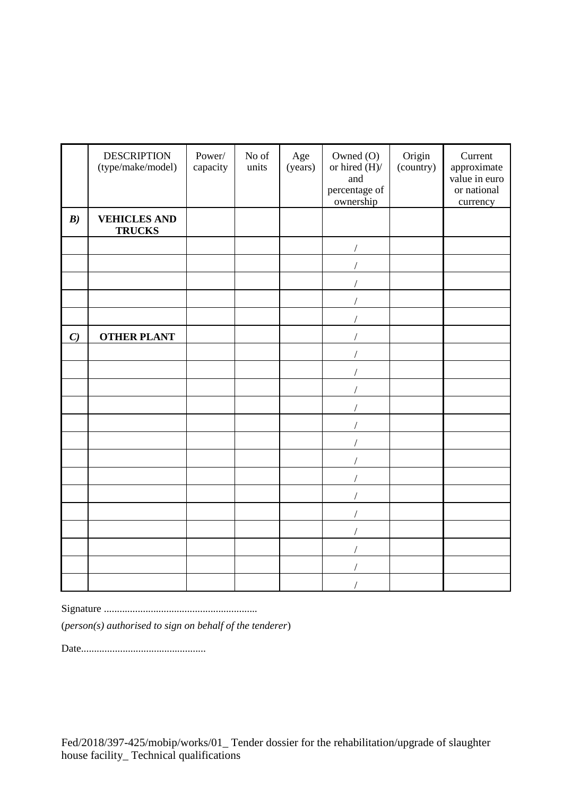|               | <b>DESCRIPTION</b><br>(type/make/model) | Power/<br>capacity | No of<br>units | Age<br>(years) | Owned (O)<br>or hired $(H)/$<br>and<br>percentage of<br>ownership | Origin<br>(country) | Current<br>approximate<br>value in euro<br>or national<br>currency |
|---------------|-----------------------------------------|--------------------|----------------|----------------|-------------------------------------------------------------------|---------------------|--------------------------------------------------------------------|
| B)            | <b>VEHICLES AND</b><br><b>TRUCKS</b>    |                    |                |                |                                                                   |                     |                                                                    |
|               |                                         |                    |                |                |                                                                   |                     |                                                                    |
|               |                                         |                    |                |                |                                                                   |                     |                                                                    |
|               |                                         |                    |                |                |                                                                   |                     |                                                                    |
|               |                                         |                    |                |                |                                                                   |                     |                                                                    |
|               |                                         |                    |                |                |                                                                   |                     |                                                                    |
| $\mathcal{C}$ | <b>OTHER PLANT</b>                      |                    |                |                |                                                                   |                     |                                                                    |
|               |                                         |                    |                |                |                                                                   |                     |                                                                    |
|               |                                         |                    |                |                |                                                                   |                     |                                                                    |
|               |                                         |                    |                |                |                                                                   |                     |                                                                    |
|               |                                         |                    |                |                |                                                                   |                     |                                                                    |
|               |                                         |                    |                |                |                                                                   |                     |                                                                    |
|               |                                         |                    |                |                |                                                                   |                     |                                                                    |
|               |                                         |                    |                |                |                                                                   |                     |                                                                    |
|               |                                         |                    |                |                |                                                                   |                     |                                                                    |
|               |                                         |                    |                |                |                                                                   |                     |                                                                    |
|               |                                         |                    |                |                |                                                                   |                     |                                                                    |
|               |                                         |                    |                |                |                                                                   |                     |                                                                    |
|               |                                         |                    |                |                |                                                                   |                     |                                                                    |
|               |                                         |                    |                |                |                                                                   |                     |                                                                    |
|               |                                         |                    |                |                |                                                                   |                     |                                                                    |

Signature ...........................................................

(*person(s) authorised to sign on behalf of the tenderer*)

Date................................................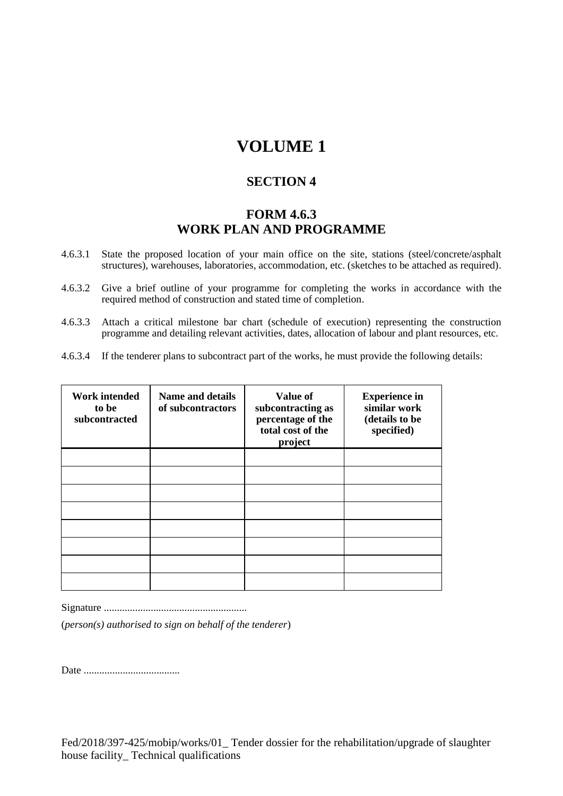#### **SECTION 4**

# **FORM 4.6.3 WORK PLAN AND PROGRAMME**

- 4.6.3.1 State the proposed location of your main office on the site, stations (steel/concrete/asphalt structures), warehouses, laboratories, accommodation, etc. (sketches to be attached as required).
- 4.6.3.2 Give a brief outline of your programme for completing the works in accordance with the required method of construction and stated time of completion.
- 4.6.3.3 Attach a critical milestone bar chart (schedule of execution) representing the construction programme and detailing relevant activities, dates, allocation of labour and plant resources, etc.
- 4.6.3.4 If the tenderer plans to subcontract part of the works, he must provide the following details:

| <b>Work intended</b><br>to be<br>subcontracted | <b>Name and details</b><br>of subcontractors | <b>Value of</b><br>subcontracting as<br>percentage of the<br>total cost of the<br>project | <b>Experience in</b><br>similar work<br>(details to be<br>specified) |
|------------------------------------------------|----------------------------------------------|-------------------------------------------------------------------------------------------|----------------------------------------------------------------------|
|                                                |                                              |                                                                                           |                                                                      |
|                                                |                                              |                                                                                           |                                                                      |
|                                                |                                              |                                                                                           |                                                                      |
|                                                |                                              |                                                                                           |                                                                      |
|                                                |                                              |                                                                                           |                                                                      |
|                                                |                                              |                                                                                           |                                                                      |
|                                                |                                              |                                                                                           |                                                                      |
|                                                |                                              |                                                                                           |                                                                      |

Signature .......................................................

(*person(s) authorised to sign on behalf of the tenderer*)

Date .....................................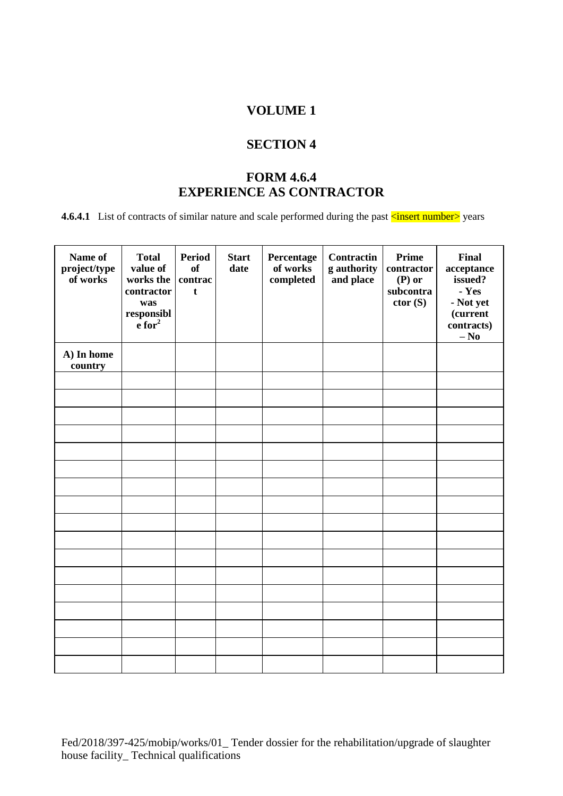#### **SECTION 4**

# **FORM 4.6.4 EXPERIENCE AS CONTRACTOR**

**4.6.4.1** List of contracts of similar nature and scale performed during the past  $\frac{1}{\sin(\theta)}$  years

| Name of<br>project/type<br>of works | <b>Total</b><br>value of<br>works the<br>contractor<br>was<br>responsible $e$ for <sup>2</sup> | <b>Period</b><br><b>of</b><br>contrac<br>t | <b>Start</b><br>date | Percentage<br>of works<br>completed | <b>Contractin</b><br>g authority<br>and place | <b>Prime</b><br>contractor<br>$(P)$ or<br>subcontra<br>ctor(S) | <b>Final</b><br>acceptance<br>issued?<br>- Yes<br>- Not yet<br>(current<br>contracts)<br>$-$ No |
|-------------------------------------|------------------------------------------------------------------------------------------------|--------------------------------------------|----------------------|-------------------------------------|-----------------------------------------------|----------------------------------------------------------------|-------------------------------------------------------------------------------------------------|
| A) In home<br>country               |                                                                                                |                                            |                      |                                     |                                               |                                                                |                                                                                                 |
|                                     |                                                                                                |                                            |                      |                                     |                                               |                                                                |                                                                                                 |
|                                     |                                                                                                |                                            |                      |                                     |                                               |                                                                |                                                                                                 |
|                                     |                                                                                                |                                            |                      |                                     |                                               |                                                                |                                                                                                 |
|                                     |                                                                                                |                                            |                      |                                     |                                               |                                                                |                                                                                                 |
|                                     |                                                                                                |                                            |                      |                                     |                                               |                                                                |                                                                                                 |
|                                     |                                                                                                |                                            |                      |                                     |                                               |                                                                |                                                                                                 |
|                                     |                                                                                                |                                            |                      |                                     |                                               |                                                                |                                                                                                 |
|                                     |                                                                                                |                                            |                      |                                     |                                               |                                                                |                                                                                                 |
|                                     |                                                                                                |                                            |                      |                                     |                                               |                                                                |                                                                                                 |
|                                     |                                                                                                |                                            |                      |                                     |                                               |                                                                |                                                                                                 |
|                                     |                                                                                                |                                            |                      |                                     |                                               |                                                                |                                                                                                 |
|                                     |                                                                                                |                                            |                      |                                     |                                               |                                                                |                                                                                                 |
|                                     |                                                                                                |                                            |                      |                                     |                                               |                                                                |                                                                                                 |
|                                     |                                                                                                |                                            |                      |                                     |                                               |                                                                |                                                                                                 |
|                                     |                                                                                                |                                            |                      |                                     |                                               |                                                                |                                                                                                 |
|                                     |                                                                                                |                                            |                      |                                     |                                               |                                                                |                                                                                                 |
|                                     |                                                                                                |                                            |                      |                                     |                                               |                                                                |                                                                                                 |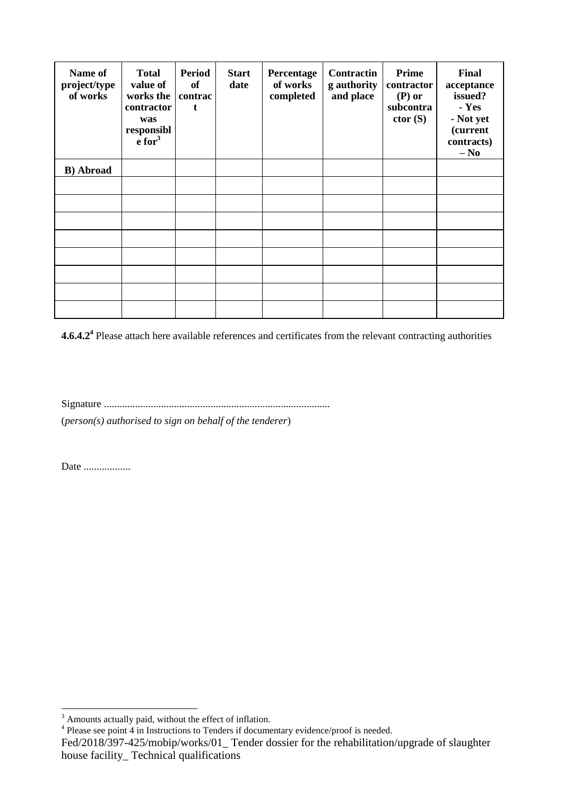| Name of<br>project/type<br>of works | <b>Total</b><br>value of<br>works the<br>contractor<br>was<br>responsibl<br>$\frac{1}{2}$ for <sup>3</sup> | <b>Period</b><br><b>of</b><br>contrac<br>t | <b>Start</b><br>date | Percentage<br>of works<br>completed | Contractin<br>g authority<br>and place | Prime<br>contractor<br>$(P)$ or<br>subcontra<br>ctor(S) | Final<br>acceptance<br>issued?<br>- Yes<br>- Not yet<br><i>(current</i><br>contracts)<br>$-$ No |
|-------------------------------------|------------------------------------------------------------------------------------------------------------|--------------------------------------------|----------------------|-------------------------------------|----------------------------------------|---------------------------------------------------------|-------------------------------------------------------------------------------------------------|
| <b>B</b> ) Abroad                   |                                                                                                            |                                            |                      |                                     |                                        |                                                         |                                                                                                 |
|                                     |                                                                                                            |                                            |                      |                                     |                                        |                                                         |                                                                                                 |
|                                     |                                                                                                            |                                            |                      |                                     |                                        |                                                         |                                                                                                 |
|                                     |                                                                                                            |                                            |                      |                                     |                                        |                                                         |                                                                                                 |
|                                     |                                                                                                            |                                            |                      |                                     |                                        |                                                         |                                                                                                 |
|                                     |                                                                                                            |                                            |                      |                                     |                                        |                                                         |                                                                                                 |
|                                     |                                                                                                            |                                            |                      |                                     |                                        |                                                         |                                                                                                 |
|                                     |                                                                                                            |                                            |                      |                                     |                                        |                                                         |                                                                                                 |
|                                     |                                                                                                            |                                            |                      |                                     |                                        |                                                         |                                                                                                 |

**4.6.4.2<sup>4</sup>** Please attach here available references and certificates from the relevant contracting authorities

Signature .......................................................................................

(*person(s) authorised to sign on behalf of the tenderer*)

Date ...................

 $\overline{a}$ 

 $3$  Amounts actually paid, without the effect of inflation.<br>
<sup>4</sup> Please see point 4 in Instructions to Tenders if documentary evidence/proof is needed.

Fed/2018/397-425/mobip/works/01\_ Tender dossier for the rehabilitation/upgrade of slaughter house facility\_ Technical qualifications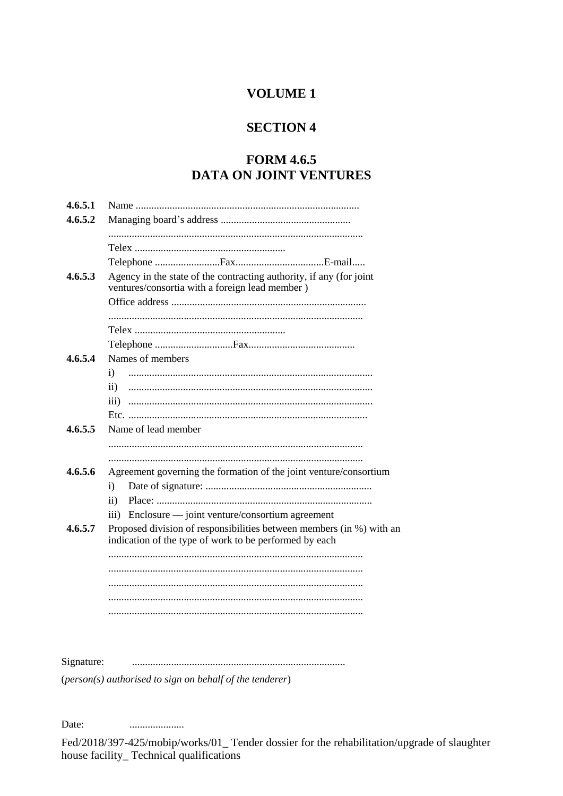# **SECTION 4**

# **FORM 4.6.5** DATA ON JOINT VENTURES

| 4.6.5.2<br>Agency in the state of the contracting authority, if any (for joint<br>4.6.5.3<br>ventures/consortia with a foreign lead member) |  |
|---------------------------------------------------------------------------------------------------------------------------------------------|--|
|                                                                                                                                             |  |
|                                                                                                                                             |  |
|                                                                                                                                             |  |
|                                                                                                                                             |  |
|                                                                                                                                             |  |
|                                                                                                                                             |  |
|                                                                                                                                             |  |
|                                                                                                                                             |  |
|                                                                                                                                             |  |
|                                                                                                                                             |  |
|                                                                                                                                             |  |
| Names of members<br>4.6.5.4                                                                                                                 |  |
| i)                                                                                                                                          |  |
| $\mathbf{ii}$                                                                                                                               |  |
| $\overline{\text{iii}}$                                                                                                                     |  |
|                                                                                                                                             |  |
| 4.6.5.5<br>Name of lead member                                                                                                              |  |
|                                                                                                                                             |  |
|                                                                                                                                             |  |
| 4.6.5.6<br>Agreement governing the formation of the joint venture/consortium                                                                |  |
| i)                                                                                                                                          |  |
| $\rm ii)$                                                                                                                                   |  |
|                                                                                                                                             |  |
| Enclosure — joint venture/consortium agreement<br>$\overline{111}$                                                                          |  |
| 4.6.5.7<br>Proposed division of responsibilities between members (in %) with an<br>indication of the type of work to be performed by each   |  |
|                                                                                                                                             |  |
|                                                                                                                                             |  |
|                                                                                                                                             |  |
|                                                                                                                                             |  |
|                                                                                                                                             |  |
|                                                                                                                                             |  |
|                                                                                                                                             |  |
|                                                                                                                                             |  |
| Signature:                                                                                                                                  |  |

 $(person(s)$  authorised to sign on behalf of the tenderer)

Date: ....................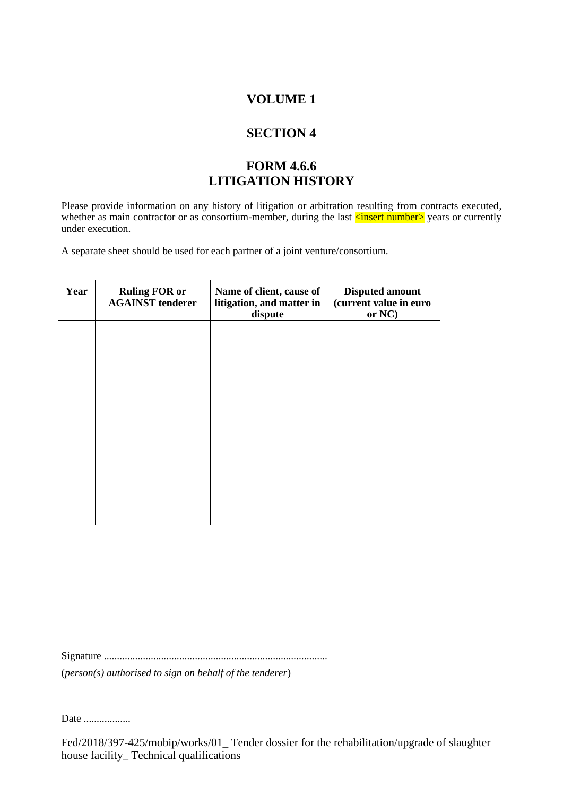# **SECTION 4**

# **FORM 4.6.6 LITIGATION HISTORY**

Please provide information on any history of litigation or arbitration resulting from contracts executed, whether as main contractor or as consortium-member, during the last <u><insert number</u>> years or currently under execution.

A separate sheet should be used for each partner of a joint venture/consortium.

| Year | <b>Ruling FOR or</b><br><b>AGAINST tenderer</b> | Name of client, cause of<br>litigation, and matter in<br>dispute | <b>Disputed amount</b><br>(current value in euro<br>or NC) |
|------|-------------------------------------------------|------------------------------------------------------------------|------------------------------------------------------------|
|      |                                                 |                                                                  |                                                            |
|      |                                                 |                                                                  |                                                            |
|      |                                                 |                                                                  |                                                            |
|      |                                                 |                                                                  |                                                            |
|      |                                                 |                                                                  |                                                            |

Signature ......................................................................................

(*person(s) authorised to sign on behalf of the tenderer*)

Date ...................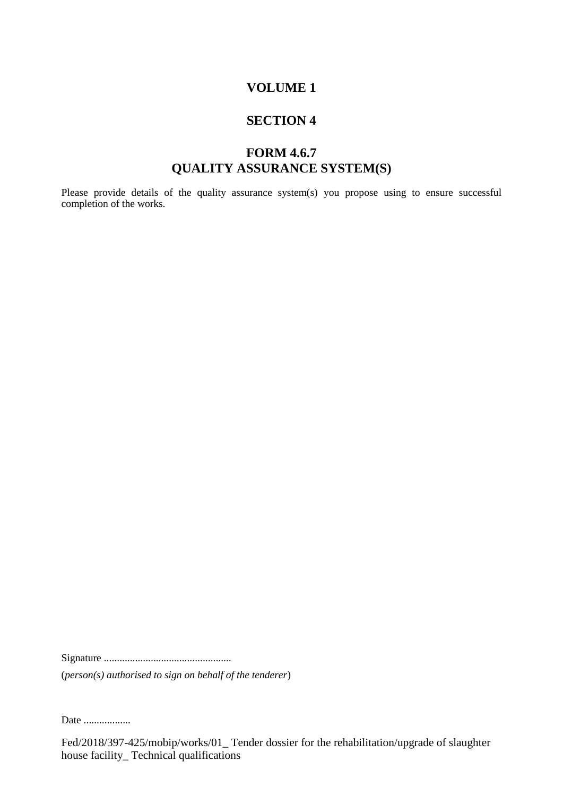#### **SECTION 4**

# **FORM 4.6.7 QUALITY ASSURANCE SYSTEM(S)**

Please provide details of the quality assurance system(s) you propose using to ensure successful completion of the works.

Signature .................................................

(*person(s) authorised to sign on behalf of the tenderer*)

Date ...................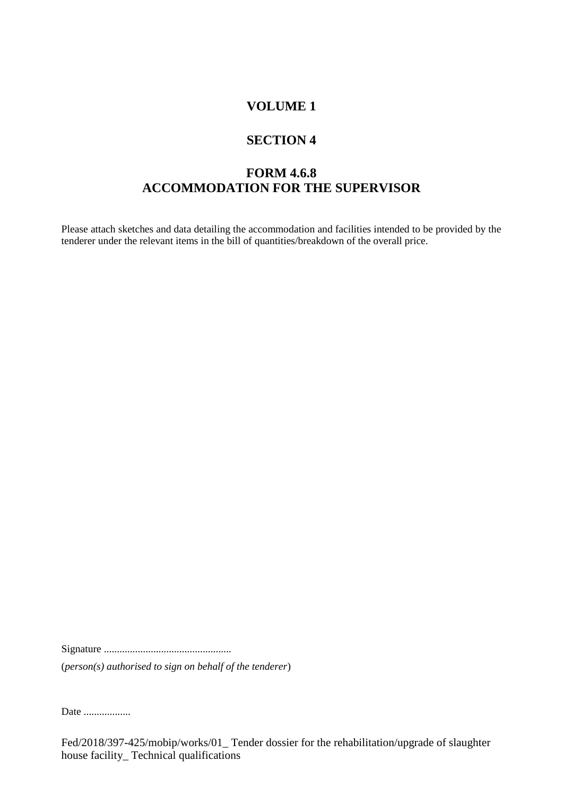#### **SECTION 4**

# **FORM 4.6.8 ACCOMMODATION FOR THE SUPERVISOR**

Please attach sketches and data detailing the accommodation and facilities intended to be provided by the tenderer under the relevant items in the bill of quantities/breakdown of the overall price.

Signature .................................................

(*person(s) authorised to sign on behalf of the tenderer*)

Date ..................